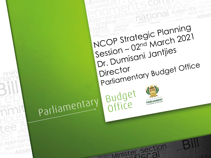**Budget Appr** ASSer INCOP Strategic Planning Session - 02<sup>nd</sup> March 2021 Dr. Dumisani Jantjies Parliamentary Budget Office Director Budget<br>Office Parliamentary PARLIAMENT appropria regislature Minister Section ervice ASSer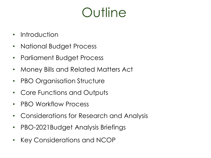# **Outline**

- Introduction
- National Budget Process
- Parliament Budget Process
- Money Bills and Related Matters Act
- PBO Organisation Structure
- Core Functions and Outputs
- PBO Workflow Process
- Considerations for Research and Analysis
- PBO-2021Budget Analysis Briefings
- Key Considerations and NCOP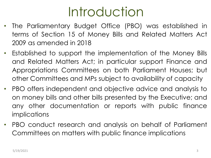# Introduction

- The Parliamentary Budget Office (PBO) was established in terms of Section 15 of Money Bills and Related Matters Act 2009 as amended in 2018
- Established to support the implementation of the Money Bills and Related Matters Act; in particular support Finance and Appropriations Committees on both Parliament Houses; but other Committees and MPs subject to availability of capacity
- PBO offers independent and objective advice and analysis to on money bills and other bills presented by the Executive; and any other documentation or reports with public finance implications
- PBO conduct research and analysis on behalf of Parliament Committees on matters with public finance implications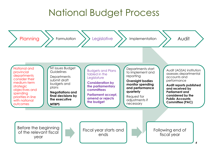### National Budget Process

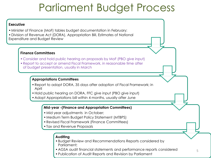## Parliament Budget Process

#### **Executive**

- •Minister of Finance (MoF) tables budget documentation in February:
- •Division of Revenue Act (DORA), Appropriation Bill, Estimates of National Expenditure and Budget Review

#### **Finance Committees**

- Consider and hold public hearing on proposals by MoF (PBO give input)
- •Report to accept or amend Fiscal Framework, in reasonable time after of budget presentation, usually in March

#### **Appropriations Committees**

- •Report to adopt DORA, 35 days after adoption of Fiscal Framework; in April
- •Hold public hearing on DORA, FFC give input (PBO give input)
- •Adopt Appropriations bill within 4 months, usually after June

#### **Mid-year -(Finance and Appropriation Committees)**

- •Mid year adjustments in October;
- •Medium Term Budget Policy Statement (MTBPS)
- •Revised Fiscal Framework (Finance Committees)
- •Tax and Revenue Proposals

#### **Auditing**

- •Budget Review and Recommendations Reports considered by Parliament;
- •AGSA audit financial statements and performance reports considered
- •Publication of Audit Reports and Revision by Parliament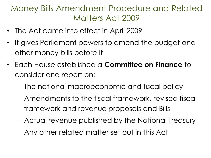### Money Bills Amendment Procedure and Related Matters Act 2009

- The Act came into effect in April 2009
- It gives Parliament powers to amend the budget and other money bills before it
- Each House established a **Committee on Finance** to consider and report on:
	- The national macroeconomic and fiscal policy
	- Amendments to the fiscal framework, revised fiscal framework and revenue proposals and Bills
	- Actual revenue published by the National Treasury
	- Any other related matter set out in this Act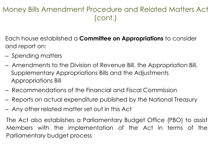### Money Bills Amendment Procedure and Related Matters Act (cont.)

Each house established a **Committee on Appropriations** to consider and report on:

- Spending matters
- Amendments to the Division of Revenue Bill, the Appropriation Bill, Supplementary Appropriations Bills and the Adjustments Appropriations Bill
- Recommendations of the Financial and Fiscal Commission
- Reports on actual expenditure published by the National Treasury
- Any other related matter set out in this Act

The Act also establishes a Parliamentary Budget Office (PBO) to assist Members with the implementation of the Act in terms of the Parliamentary budget process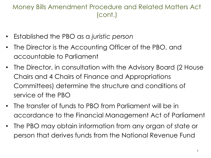#### Money Bills Amendment Procedure and Related Matters Act (cont.)

- Established the PBO as a *juristic person*
- The Director is the Accounting Officer of the PBO, and accountable to Parliament
- The Director, in consultation with the Advisory Board (2 House Chairs and 4 Chairs of Finance and Appropriations Committees) determine the structure and conditions of service of the PBO
- The transfer of funds to PBO from Parliament will be in accordance to the Financial Management Act of Parliament
- The PBO may obtain information from any organ of state or person that derives funds from the National Revenue Fund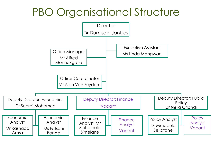## PBO Organisational Structure

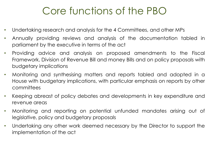## Core functions of the PBO

- Undertaking research and analysis for the 4 Committees, and other MPs
- Annually providing reviews and analysis of the documentation tabled in parliament by the executive in terms of the act
- Providing advice and analysis on proposed amendments to the Fiscal Framework, Division of Revenue Bill and money Bills and on policy proposals with budgetary implications
- Monitoring and synthesising matters and reports tabled and adopted in a House with budgetary implications, with particular emphasis on reports by other committees
- Keeping abreast of policy debates and developments in key expenditure and revenue areas
- Monitoring and reporting on potential unfunded mandates arising out of legislative, policy and budgetary proposals
- Undertaking any other work deemed necessary by the Director to support the implementation of the act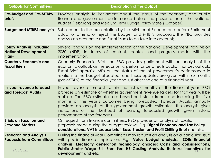| <b>Outputs for Committees</b>                                                | <b>Description of the Output</b>                                                                                                                                                                                                                                                                                                                                                                                                                                                                                                       |
|------------------------------------------------------------------------------|----------------------------------------------------------------------------------------------------------------------------------------------------------------------------------------------------------------------------------------------------------------------------------------------------------------------------------------------------------------------------------------------------------------------------------------------------------------------------------------------------------------------------------------|
| <b>Pre-Budget and Pre-MTBPS</b><br><b>briefs</b>                             | Provides analysis to Parliament about the status of the economy and public<br>finance and government performance before the presentation of the National<br>Budget (February) and Medium Term Budge Policy State (October);                                                                                                                                                                                                                                                                                                            |
| <b>Budget and MTBPS analysis</b>                                             | Subsequent to the presentation by the Minister of Finance and before Parliament<br>adopt or amend or reject the budget and MTBPS proposals, the PBO provides<br>analysis on economic and fiscal issues to be take into account;                                                                                                                                                                                                                                                                                                        |
| <b>Policy Analysis including</b><br><b>National Development</b><br>Plan-     | Several analysis on the implementation of the National Development Plan, vision<br>2030 (NDP) in terms of content, context and progress made with the<br>implementation.                                                                                                                                                                                                                                                                                                                                                               |
| <b>Quarterly Economic and</b><br><b>Fiscal Briefs</b>                        | Quarterly Economic Brief, the PBO provides parliament with an analysis of the<br>economic outlook as the economic performance affects public finances outlook.<br>Fiscal Brief appraise MPs on the status of the of government's performance in<br>relation to the budget allocated, and these updates are given within six months<br>(pre-MTBPS) of the financial year and just after the end of a financial year.                                                                                                                    |
| In-year revenue forecast<br>and Forecast Audits                              | In-year revenue forecast, within the first six months of the financial year, PBO<br>provides an estimate of whether government revenue targets for that year will be<br>realised. The PBO estimates are based on historic trends and including first five<br>months of the year's outcomes being forecasted. Forecast Audits, annually<br>provides an analysis of the government growth estimates. This analysis gives<br>indications of the likelihood of realising forecasted growth given historic<br>performance of the forecasts. |
| <b>Briefs on Taxation and</b><br><b>Revenue Matters</b>                      | On request from finance committees, PBO provides an analysis of taxation<br>proposals made during the budget reviews. E.g. Digital Economy and Tax Policy<br>considerations, VAT Increase brief, Base Erosion and Profit Shifting Brief and etc.                                                                                                                                                                                                                                                                                       |
| <b>Research and Analysis</b><br><b>Requests from Committees</b><br>5/19/2021 | During the financial year Committees may request an analysis on a particular issue<br>with public finance implication. E.g., Votes budget analysis, SOEs financial<br>analysis, Electricity generation technology choices: Costs and considerations,<br>Public Sector Wage Bill, Free Fee HE Costing Analysis, Business incentives for<br>development and etc.                                                                                                                                                                         |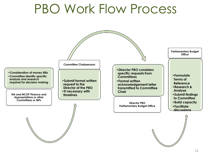# PBO Work Flow Process

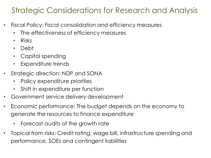### Strategic Considerations for Research and Analysis

- Fiscal Policy: Fiscal consolidation and efficiency measures
	- The effectiveness of efficiency measures
	- Risks
	- Debt
	- Capital spending
	- Expenditure trends
- Strategic direction: NDP and SONA
	- Policy expenditure priorities
	- Shift in expenditure per function
- Government service delivery development
- Economic performance: The budget depends on the economy to generate the resources to finance expenditure
	- Forecast audits of the growth rate
- Topical from risks: Credit rating, wage bill, infrastructure spending and performance, SOEs and contingent liabilities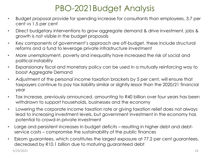### PBO-2021Budget Analysis

- Budget proposal provide for spending increase for consultants than employees, 3.7 per cent vs 1.5 per cent
- Direct budgetary interventions to grow aggregate demand & drive investment, jobs & growth is not visible in the budget proposals
- Key components of government's approach are off-budget, these include structural reforms and a fund to leverage private infrastructure investment
- More unemployment, poverty and inequality have increased the risk of social and political instability
- Expansionary fiscal and monetary policy can be used in a mutually reinforcing way to boost Aggregate Demand
- Adjustment of the personal income taxation brackets by 5 per cent, will ensure that taxpayers continue to pay tax liability similar or slightly lessor than the 2020/21 financial year
- Tax increase, previously announced, amounting to R40 billion over four years has been withdrawn to support households, businesses and the economy
- Lowering the corporate income taxation rate or giving taxation relief does not always lead to increasing investment levels, but government investment in the economy has potential to crowd-in private investment
- Large and persistent increases in budget deficits resulting in higher debt and debtservice costs – compromise the sustainability of the public finances
- Eskom guarantees, which constitutes the largest exposure at 77.2 per cent guarantees, decreased by R10.1 billion due to maturing guaranteed debt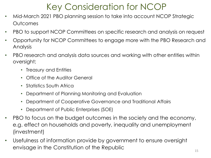## Key Consideration for NCOP

- Mid-March 2021 PBO planning session to take into account NCOP Strategic Outcomes
- PBO to support NCOP Committees on specific research and analysis on request
- Opportunity for NCOP Committees to engage more with the PBO Research and Analysis
- PBO research and analysis data sources and working with other entities within oversight;
	- Treasury and Entities
	- Office of the Auditor General
	- Statistics South Africa
	- Department of Planning Monitoring and Evaluation
	- Department of Cooperative Governance and Traditional Affairs
	- Department of Public Enterprises (SOE)
- PBO to focus on the budget outcomes in the society and the economy, e.g. effect on households and poverty, inequality and unemployment (investment)
- Usefulness of information provide by government to ensure oversight envisage in the Constitution of the Republic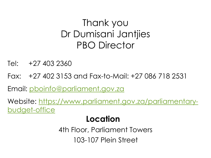## Thank you Dr Dumisani Jantjies PBO Director

Tel: +27 403 2360

Fax: +27 402 3153 and Fax-to-Mail: +27 086 718 2531

Email: [pboinfo@parliament.gov.za](mailto:pboinfo@parliament.gov.za)

Website: [https://www.parliament.gov.za/parliamentary](https://www.parliament.gov.za/parliamentary-budget-office)budget-office

### **Location**

4th Floor, Parliament Towers 103-107 Plein Street